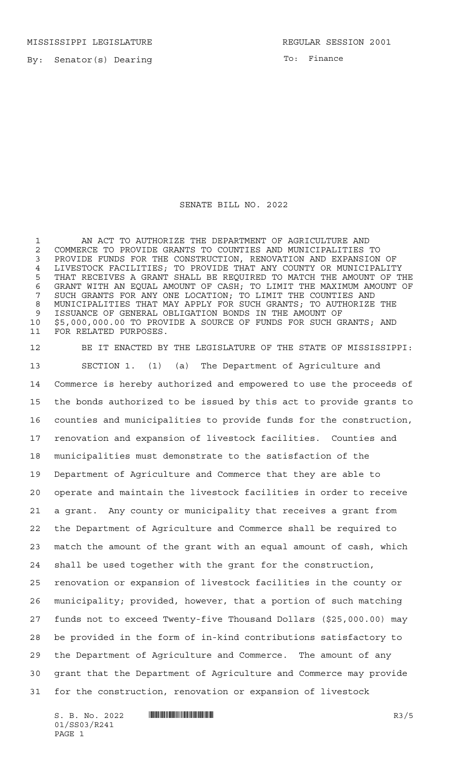MISSISSIPPI LEGISLATURE **REGULAR SESSION 2001** 

By: Senator(s) Dearing

To: Finance

## SENATE BILL NO. 2022

1 AN ACT TO AUTHORIZE THE DEPARTMENT OF AGRICULTURE AND 2 COMMERCE TO PROVIDE GRANTS TO COUNTIES AND MUNICIPALITIES TO<br>3 PROVIDE FUNDS FOR THE CONSTRUCTION, RENOVATION AND EXPANSION PROVIDE FUNDS FOR THE CONSTRUCTION, RENOVATION AND EXPANSION OF LIVESTOCK FACILITIES; TO PROVIDE THAT ANY COUNTY OR MUNICIPALITY THAT RECEIVES A GRANT SHALL BE REQUIRED TO MATCH THE AMOUNT OF THE GRANT WITH AN EQUAL AMOUNT OF CASH; TO LIMIT THE MAXIMUM AMOUNT OF SUCH GRANTS FOR ANY ONE LOCATION; TO LIMIT THE COUNTIES AND MUNICIPALITIES THAT MAY APPLY FOR SUCH GRANTS; TO AUTHORIZE THE ISSUANCE OF GENERAL OBLIGATION BONDS IN THE AMOUNT OF \$5,000,000.00 TO PROVIDE A SOURCE OF FUNDS FOR SUCH GRANTS; AND FOR RELATED PURPOSES.

 BE IT ENACTED BY THE LEGISLATURE OF THE STATE OF MISSISSIPPI: SECTION 1. (1) (a) The Department of Agriculture and Commerce is hereby authorized and empowered to use the proceeds of the bonds authorized to be issued by this act to provide grants to counties and municipalities to provide funds for the construction, renovation and expansion of livestock facilities. Counties and municipalities must demonstrate to the satisfaction of the Department of Agriculture and Commerce that they are able to operate and maintain the livestock facilities in order to receive a grant. Any county or municipality that receives a grant from the Department of Agriculture and Commerce shall be required to match the amount of the grant with an equal amount of cash, which shall be used together with the grant for the construction, renovation or expansion of livestock facilities in the county or municipality; provided, however, that a portion of such matching funds not to exceed Twenty-five Thousand Dollars (\$25,000.00) may be provided in the form of in-kind contributions satisfactory to the Department of Agriculture and Commerce. The amount of any grant that the Department of Agriculture and Commerce may provide for the construction, renovation or expansion of livestock

 $S. B. No. 2022$   $\blacksquare$   $\blacksquare$   $\blacksquare$   $\blacksquare$   $\blacksquare$   $\blacksquare$   $\blacksquare$   $\blacksquare$   $\blacksquare$   $\blacksquare$   $\blacksquare$   $\blacksquare$   $\blacksquare$   $\blacksquare$   $\blacksquare$   $\blacksquare$   $\blacksquare$   $\blacksquare$   $\blacksquare$   $\blacksquare$   $\blacksquare$   $\blacksquare$   $\blacksquare$   $\blacksquare$   $\blacksquare$   $\blacksquare$   $\blacksquare$   $\blacksquare$   $\blacksquare$   $\blacks$ 01/SS03/R241 PAGE 1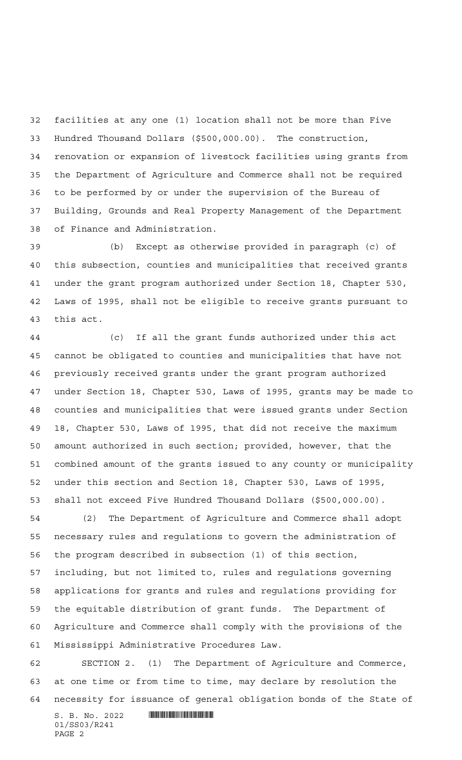facilities at any one (1) location shall not be more than Five Hundred Thousand Dollars (\$500,000.00). The construction, renovation or expansion of livestock facilities using grants from the Department of Agriculture and Commerce shall not be required to be performed by or under the supervision of the Bureau of Building, Grounds and Real Property Management of the Department of Finance and Administration.

 (b) Except as otherwise provided in paragraph (c) of this subsection, counties and municipalities that received grants under the grant program authorized under Section 18, Chapter 530, Laws of 1995, shall not be eligible to receive grants pursuant to this act.

 (c) If all the grant funds authorized under this act cannot be obligated to counties and municipalities that have not previously received grants under the grant program authorized under Section 18, Chapter 530, Laws of 1995, grants may be made to counties and municipalities that were issued grants under Section 18, Chapter 530, Laws of 1995, that did not receive the maximum amount authorized in such section; provided, however, that the combined amount of the grants issued to any county or municipality under this section and Section 18, Chapter 530, Laws of 1995, shall not exceed Five Hundred Thousand Dollars (\$500,000.00).

 (2) The Department of Agriculture and Commerce shall adopt necessary rules and regulations to govern the administration of the program described in subsection (1) of this section, including, but not limited to, rules and regulations governing applications for grants and rules and regulations providing for the equitable distribution of grant funds. The Department of Agriculture and Commerce shall comply with the provisions of the Mississippi Administrative Procedures Law.

 SECTION 2. (1) The Department of Agriculture and Commerce, at one time or from time to time, may declare by resolution the necessity for issuance of general obligation bonds of the State of

 $S. B. No. 2022$  **INSTERNAL EXAMPLE ASSESSED ASSESSED** 01/SS03/R241 PAGE 2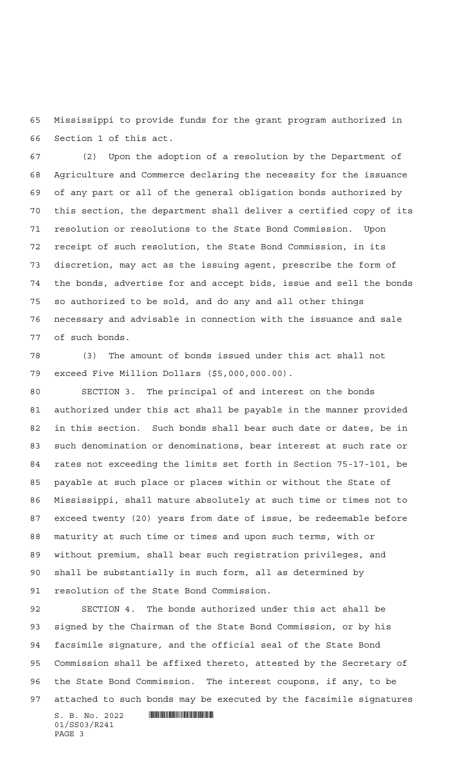Mississippi to provide funds for the grant program authorized in Section 1 of this act.

 (2) Upon the adoption of a resolution by the Department of Agriculture and Commerce declaring the necessity for the issuance of any part or all of the general obligation bonds authorized by this section, the department shall deliver a certified copy of its resolution or resolutions to the State Bond Commission. Upon receipt of such resolution, the State Bond Commission, in its discretion, may act as the issuing agent, prescribe the form of the bonds, advertise for and accept bids, issue and sell the bonds so authorized to be sold, and do any and all other things necessary and advisable in connection with the issuance and sale of such bonds.

 (3) The amount of bonds issued under this act shall not exceed Five Million Dollars (\$5,000,000.00).

 SECTION 3. The principal of and interest on the bonds authorized under this act shall be payable in the manner provided in this section. Such bonds shall bear such date or dates, be in such denomination or denominations, bear interest at such rate or rates not exceeding the limits set forth in Section 75-17-101, be payable at such place or places within or without the State of Mississippi, shall mature absolutely at such time or times not to exceed twenty (20) years from date of issue, be redeemable before maturity at such time or times and upon such terms, with or without premium, shall bear such registration privileges, and shall be substantially in such form, all as determined by resolution of the State Bond Commission.

 SECTION 4. The bonds authorized under this act shall be signed by the Chairman of the State Bond Commission, or by his facsimile signature, and the official seal of the State Bond Commission shall be affixed thereto, attested by the Secretary of the State Bond Commission. The interest coupons, if any, to be attached to such bonds may be executed by the facsimile signatures

 $S. B. No. 2022$  **INSTERNAL EXAMPLE ASSESSED ASSESSED** 01/SS03/R241 PAGE 3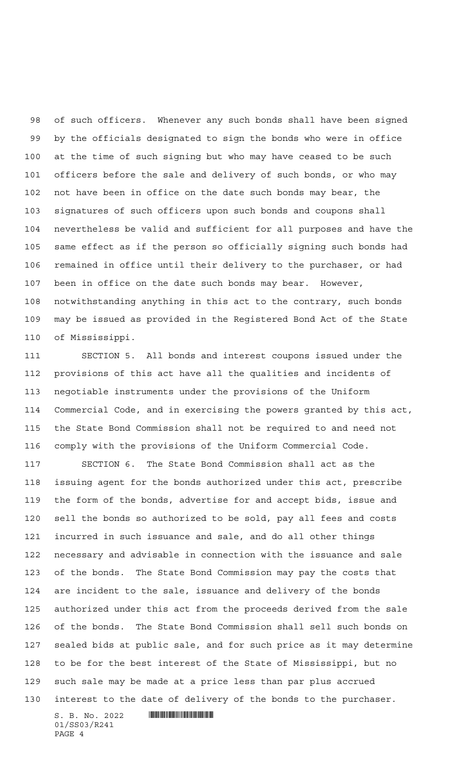of such officers. Whenever any such bonds shall have been signed by the officials designated to sign the bonds who were in office at the time of such signing but who may have ceased to be such officers before the sale and delivery of such bonds, or who may not have been in office on the date such bonds may bear, the signatures of such officers upon such bonds and coupons shall nevertheless be valid and sufficient for all purposes and have the same effect as if the person so officially signing such bonds had remained in office until their delivery to the purchaser, or had been in office on the date such bonds may bear. However, notwithstanding anything in this act to the contrary, such bonds may be issued as provided in the Registered Bond Act of the State of Mississippi.

 SECTION 5. All bonds and interest coupons issued under the provisions of this act have all the qualities and incidents of negotiable instruments under the provisions of the Uniform Commercial Code, and in exercising the powers granted by this act, the State Bond Commission shall not be required to and need not comply with the provisions of the Uniform Commercial Code.

 SECTION 6. The State Bond Commission shall act as the issuing agent for the bonds authorized under this act, prescribe the form of the bonds, advertise for and accept bids, issue and sell the bonds so authorized to be sold, pay all fees and costs incurred in such issuance and sale, and do all other things necessary and advisable in connection with the issuance and sale of the bonds. The State Bond Commission may pay the costs that are incident to the sale, issuance and delivery of the bonds authorized under this act from the proceeds derived from the sale of the bonds. The State Bond Commission shall sell such bonds on sealed bids at public sale, and for such price as it may determine to be for the best interest of the State of Mississippi, but no such sale may be made at a price less than par plus accrued interest to the date of delivery of the bonds to the purchaser.

 $S. B. No. 2022$  **With the set of the set of the set of the set of the set of the set of the set of the set of the set of the set of the set of the set of the set of the set of the set of the set of the set of the set of the** 01/SS03/R241 PAGE 4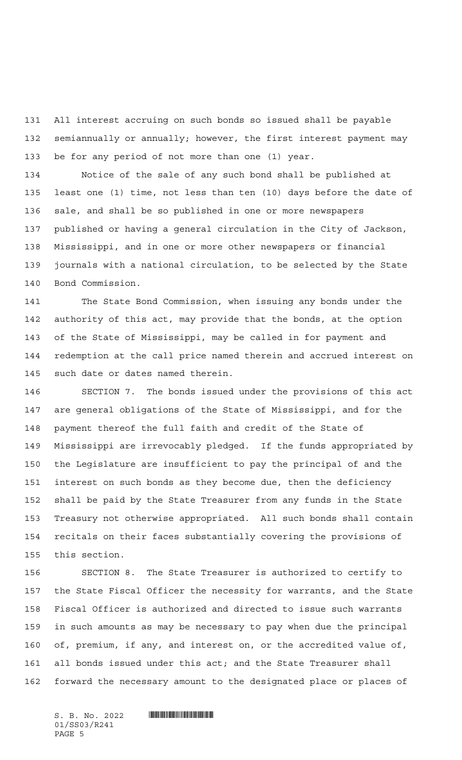All interest accruing on such bonds so issued shall be payable semiannually or annually; however, the first interest payment may be for any period of not more than one (1) year.

 Notice of the sale of any such bond shall be published at least one (1) time, not less than ten (10) days before the date of sale, and shall be so published in one or more newspapers published or having a general circulation in the City of Jackson, Mississippi, and in one or more other newspapers or financial journals with a national circulation, to be selected by the State Bond Commission.

 The State Bond Commission, when issuing any bonds under the authority of this act, may provide that the bonds, at the option of the State of Mississippi, may be called in for payment and redemption at the call price named therein and accrued interest on such date or dates named therein.

 SECTION 7. The bonds issued under the provisions of this act are general obligations of the State of Mississippi, and for the payment thereof the full faith and credit of the State of Mississippi are irrevocably pledged. If the funds appropriated by the Legislature are insufficient to pay the principal of and the interest on such bonds as they become due, then the deficiency shall be paid by the State Treasurer from any funds in the State Treasury not otherwise appropriated. All such bonds shall contain recitals on their faces substantially covering the provisions of this section.

 SECTION 8. The State Treasurer is authorized to certify to the State Fiscal Officer the necessity for warrants, and the State Fiscal Officer is authorized and directed to issue such warrants in such amounts as may be necessary to pay when due the principal of, premium, if any, and interest on, or the accredited value of, all bonds issued under this act; and the State Treasurer shall forward the necessary amount to the designated place or places of

01/SS03/R241 PAGE 5

 $S. B. No. 2022$  **... INSECTION ASSESS**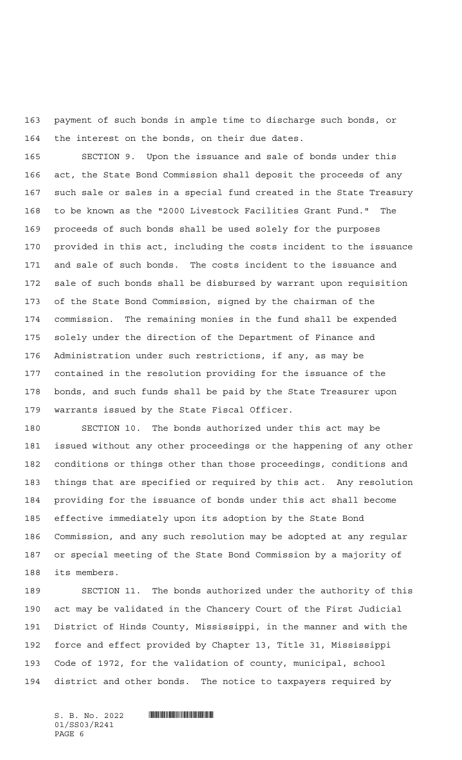payment of such bonds in ample time to discharge such bonds, or the interest on the bonds, on their due dates.

 SECTION 9. Upon the issuance and sale of bonds under this act, the State Bond Commission shall deposit the proceeds of any such sale or sales in a special fund created in the State Treasury to be known as the "2000 Livestock Facilities Grant Fund." The proceeds of such bonds shall be used solely for the purposes provided in this act, including the costs incident to the issuance and sale of such bonds. The costs incident to the issuance and sale of such bonds shall be disbursed by warrant upon requisition of the State Bond Commission, signed by the chairman of the commission. The remaining monies in the fund shall be expended solely under the direction of the Department of Finance and Administration under such restrictions, if any, as may be contained in the resolution providing for the issuance of the bonds, and such funds shall be paid by the State Treasurer upon warrants issued by the State Fiscal Officer.

 SECTION 10. The bonds authorized under this act may be issued without any other proceedings or the happening of any other conditions or things other than those proceedings, conditions and things that are specified or required by this act. Any resolution providing for the issuance of bonds under this act shall become effective immediately upon its adoption by the State Bond Commission, and any such resolution may be adopted at any regular or special meeting of the State Bond Commission by a majority of its members.

 SECTION 11. The bonds authorized under the authority of this act may be validated in the Chancery Court of the First Judicial District of Hinds County, Mississippi, in the manner and with the force and effect provided by Chapter 13, Title 31, Mississippi Code of 1972, for the validation of county, municipal, school district and other bonds. The notice to taxpayers required by

01/SS03/R241 PAGE 6

 $S. B. No. 2022$  . The set of  $S. B. N_O.$